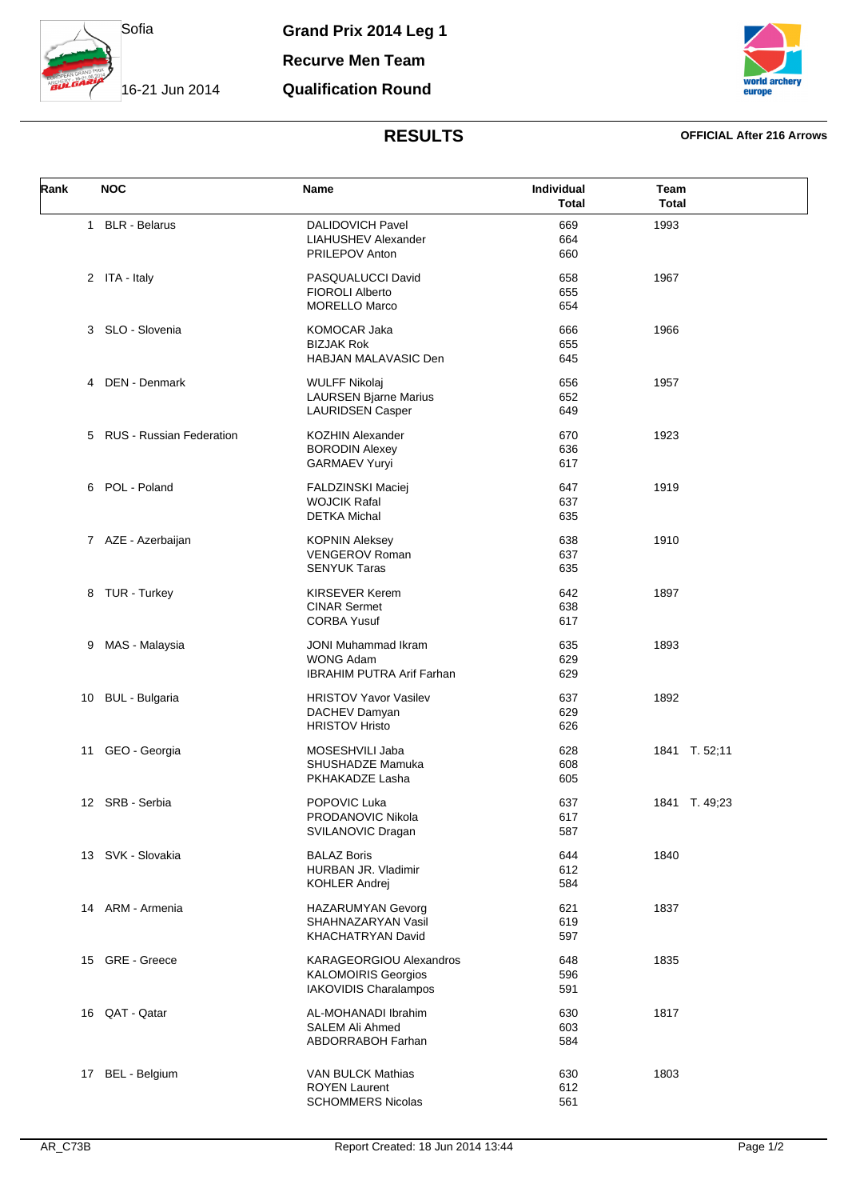

**Recurve Men Team**

## **Qualification Round**



# **RESULTS OFFICIAL After 216 Arrows**

| Rank | <b>NOC</b>                      | Name                                                                                  | Individual<br><b>Total</b> | Team<br><b>Total</b> |
|------|---------------------------------|---------------------------------------------------------------------------------------|----------------------------|----------------------|
|      | 1 BLR - Belarus                 | <b>DALIDOVICH Pavel</b><br>LIAHUSHEV Alexander<br>PRILEPOV Anton                      | 669<br>664<br>660          | 1993                 |
|      | 2 ITA - Italy                   | PASQUALUCCI David<br><b>FIOROLI Alberto</b><br><b>MORELLO Marco</b>                   | 658<br>655<br>654          | 1967                 |
|      | 3 SLO - Slovenia                | KOMOCAR Jaka<br><b>BIZJAK Rok</b><br>HABJAN MALAVASIC Den                             | 666<br>655<br>645          | 1966                 |
| 4    | DEN - Denmark                   | <b>WULFF Nikolaj</b><br><b>LAURSEN Bjarne Marius</b><br><b>LAURIDSEN Casper</b>       | 656<br>652<br>649          | 1957                 |
| 5    | <b>RUS - Russian Federation</b> | <b>KOZHIN Alexander</b><br><b>BORODIN Alexey</b><br><b>GARMAEV Yuryi</b>              | 670<br>636<br>617          | 1923                 |
| 6    | POL - Poland                    | <b>FALDZINSKI Maciej</b><br><b>WOJCIK Rafal</b><br><b>DETKA Michal</b>                | 647<br>637<br>635          | 1919                 |
|      | 7 AZE - Azerbaijan              | <b>KOPNIN Aleksey</b><br><b>VENGEROV Roman</b><br><b>SENYUK Taras</b>                 | 638<br>637<br>635          | 1910                 |
|      | 8 TUR - Turkey                  | <b>KIRSEVER Kerem</b><br><b>CINAR Sermet</b><br><b>CORBA Yusuf</b>                    | 642<br>638<br>617          | 1897                 |
| 9    | MAS - Malaysia                  | <b>JONI Muhammad Ikram</b><br><b>WONG Adam</b><br><b>IBRAHIM PUTRA Arif Farhan</b>    | 635<br>629<br>629          | 1893                 |
| 10   | <b>BUL - Bulgaria</b>           | <b>HRISTOV Yavor Vasilev</b><br>DACHEV Damyan<br><b>HRISTOV Hristo</b>                | 637<br>629<br>626          | 1892                 |
| 11   | GEO - Georgia                   | MOSESHVILI Jaba<br>SHUSHADZE Mamuka<br>PKHAKADZE Lasha                                | 628<br>608<br>605          | 1841 T. 52;11        |
|      | 12 SRB - Serbia                 | POPOVIC Luka<br>PRODANOVIC Nikola<br>SVILANOVIC Dragan                                | 637<br>617<br>587          | 1841 T. 49,23        |
| 13   | SVK - Slovakia                  | <b>BALAZ Boris</b><br>HURBAN JR. Vladimir<br>KOHLER Andrej                            | 644<br>612<br>584          | 1840                 |
|      | 14 ARM - Armenia                | <b>HAZARUMYAN Gevorg</b><br>SHAHNAZARYAN Vasil<br>KHACHATRYAN David                   | 621<br>619<br>597          | 1837                 |
|      | 15 GRE - Greece                 | KARAGEORGIOU Alexandros<br><b>KALOMOIRIS Georgios</b><br><b>IAKOVIDIS Charalampos</b> | 648<br>596<br>591          | 1835                 |
|      | 16 QAT - Qatar                  | AL-MOHANADI Ibrahim<br>SALEM Ali Ahmed<br><b>ABDORRABOH Farhan</b>                    | 630<br>603<br>584          | 1817                 |
| 17   | <b>BEL</b> - Belgium            | <b>VAN BULCK Mathias</b><br><b>ROYEN Laurent</b><br><b>SCHOMMERS Nicolas</b>          | 630<br>612<br>561          | 1803                 |